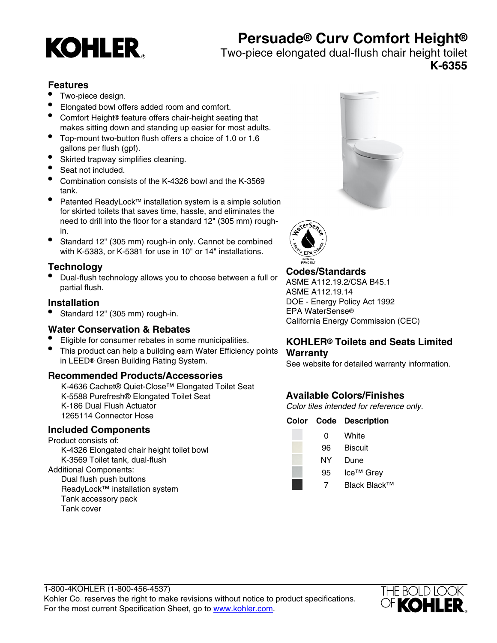# **KOHLER**

# **Persuade® Curv Comfort Height®**

Two-piece elongated dual-flush chair height toilet

**K-6355**

# **Features**

- Two-piece design.
- Elongated bowl offers added room and comfort.
- Comfort Height® feature offers chair-height seating that makes sitting down and standing up easier for most adults.
- Top-mount two-button flush offers a choice of 1.0 or 1.6 gallons per flush (gpf).
- Skirted trapway simplifies cleaning.
- Seat not included.
- Combination consists of the K-4326 bowl and the K-3569 tank.
- Patented ReadyLock™ installation system is a simple solution for skirted toilets that saves time, hassle, and eliminates the need to drill into the floor for a standard 12" (305 mm) roughin.
- Standard 12" (305 mm) rough-in only. Cannot be combined with K-5383, or K-5381 for use in 10" or 14" installations.

# **Technology**

• Dual-flush technology allows you to choose between a full or partial flush.

# **Installation**

• Standard 12" (305 mm) rough-in.

# **Water Conservation & Rebates**

- Eligible for consumer rebates in some municipalities.
- This product can help a building earn Water Efficiency points in LEED® Green Building Rating System.

# **Recommended Products/Accessories**

K-4636 Cachet® Quiet-Close™ Elongated Toilet Seat K-5588 Purefresh® Elongated Toilet Seat K-186 Dual Flush Actuator 1265114 Connector Hose

# **Included Components**

Product consists of: K-4326 Elongated chair height toilet bowl K-3569 Toilet tank, dual-flush Additional Components: Dual flush push buttons

ReadyLock™ installation system Tank accessory pack Tank cover





# **Codes/Standards**

ASME A112.19.2/CSA B45.1 ASME A112.19.14 DOE - Energy Policy Act 1992 EPA WaterSense® California Energy Commission (CEC)

# **KOHLER® Toilets and Seats Limited Warranty**

See website for detailed warranty information.

# **Available Colors/Finishes**

Color tiles intended for reference only.

#### **Color Code Description**

0 White 96 Biscuit NY Dune 95 Ice™ Grev 7 Black Black™